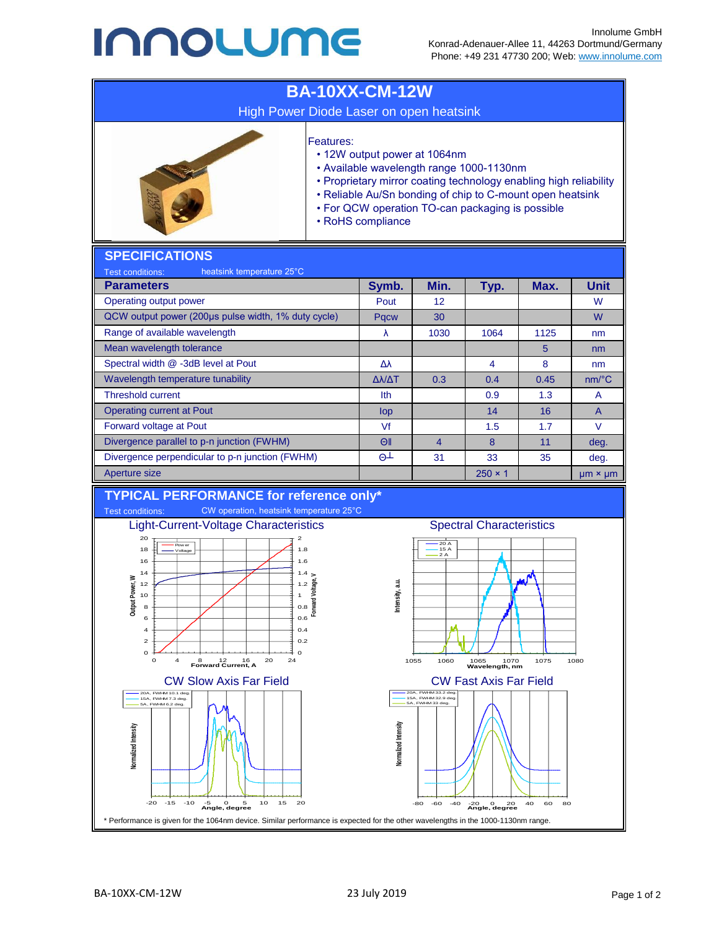## **INNOLUME**